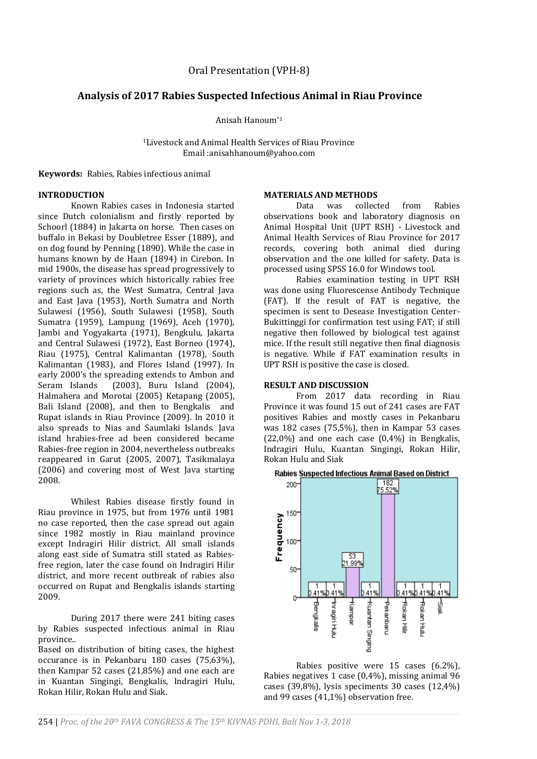# **Analysis of 2017 Rabies Suspected Infectious Animal in Riau Province**

Anisah Hanoum\*1

<sup>1</sup>Livestock and Animal Health Services of Riau Province Email :anisahhanoum@yahoo.com

**Keywords:** Rabies, Rabies infectious animal

#### **INTRODUCTION**

Known Rabies cases in Indonesia started since Dutch colonialism and firstly reported by Schoorl (1884) in Jakarta on horse. Then cases on buffalo in Bekasi by Doubletree Esser (1889), and on dog found by Penning (1890). While the case in humans known by de Haan (1894) in Cirebon. In mid 1900s, the disease has spread progressively to variety of provinces which historically rabies free regions such as, the West Sumatra, Central Java and East Java (1953), North Sumatra and North Sulawesi (1956), South Sulawesi (1958), South Sumatra (1959), Lampung (1969), Aceh (1970), Jambi and Yogyakarta (1971), Bengkulu, Jakarta and Central Sulawesi (1972), East Borneo (1974), Riau (1975), Central Kalimantan (1978), South Kalimantan (1983), and Flores Island (1997). In early 2000's the spreading extends to Ambon and Seram Islands (2003), Buru Island (2004), Halmahera and Morotai (2005) Ketapang (2005), Bali Island (2008), and then to Bengkalis and Rupat islands in Riau Province (2009). In 2010 it also spreads to Nias and Saumlaki Islands. Java island hrabies-free ad been considered became Rabies-free region in 2004, nevertheless outbreaks reappeared in Garut (2005, 2007), Tasikmalaya (2006) and covering most of West Java starting 2008.

Whilest Rabies disease firstly found in Riau province in 1975, but from 1976 until 1981 no case reported, then the case spread out again since 1982 mostly in Riau mainland province except Indragiri Hilir district. All small islands along east side of Sumatra still stated as Rabiesfree region, later the case found on Indragiri Hilir district, and more recent outbreak of rabies also occurred on Rupat and Bengkalis islands starting 2009.

During 2017 there were 241 biting cases by Rabies suspected infectious animal in Riau province..

Based on distribution of biting cases, the highest occurance is in Pekanbaru 180 cases (75,63%), then Kampar 52 cases (21,85%) and one each are in Kuantan Singingi, Bengkalis, Indragiri Hulu, Rokan Hilir, Rokan Hulu and Siak.

#### **MATERIALS AND METHODS**

Data was collected from Rabies observations book and laboratory diagnosis on Animal Hospital Unit (UPT RSH) - Livestock and Animal Health Services of Riau Province for 2017 records, covering both animal died during observation and the one killed for safety. Data is processed using SPSS 16.0 for Windows tool.

Rabies examination testing in UPT RSH was done using Fluorescense Antibody Technique (FAT). If the result of FAT is negative, the specimen is sent to Desease Investigation Center-Bukittinggi for confirmation test using FAT; if still negative then followed by biological test against mice. If the result still negative then final diagnosis is negative. While if FAT examination results in UPT RSH is positive the case is closed.

### **RESULT AND DISCUSSION**

From 2017 data recording in Riau Province it was found 15 out of 241 cases are FAT positives Rabies and mostly cases in Pekanbaru was 182 cases (75,5%), then in Kampar 53 cases (22,0%) and one each case (0,4%) in Bengkalis, Indragiri Hulu, Kuantan Singingi, Rokan Hilir, Rokan Hulu and Siak





Rabies positive were 15 cases (6.2%), Rabies negatives 1 case (0,4%), missing animal 96 cases (39,8%), lysis speciments 30 cases (12,4%) and 99 cases (41,1%) observation free.

254 | *Proc. of the 20th FAVA CONGRESS & The 15th KIVNAS PDHI, Bali Nov 1-3, 2018*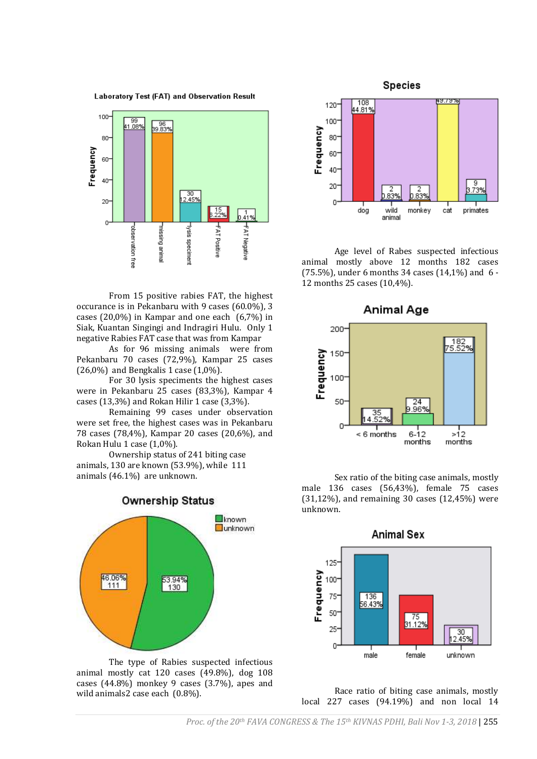



From 15 positive rabies FAT, the highest occurance is in Pekanbaru with 9 cases (60.0%), 3 cases (20,0%) in Kampar and one each (6,7%) in Siak, Kuantan Singingi and Indragiri Hulu. Only 1 negative Rabies FAT case that was from Kampar

As for 96 missing animals were from Pekanbaru 70 cases (72,9%), Kampar 25 cases  $(26,0\%)$  and Bengkalis 1 case  $(1,0\%)$ .

For 30 lysis speciments the highest cases were in Pekanbaru 25 cases (83,3%), Kampar 4 cases (13,3%) and Rokan Hilir 1 case (3,3%).

Remaining 99 cases under observation were set free, the highest cases was in Pekanbaru 78 cases (78,4%), Kampar 20 cases (20,6%), and Rokan Hulu 1 case (1,0%).

Ownership status of 241 biting case animals, 130 are known (53.9%), while 111 animals (46.1%) are unknown.



The type of Rabies suspected infectious animal mostly cat 120 cases (49.8%), dog 108 cases (44.8%) monkey 9 cases (3.7%), apes and wild animals2 case each (0.8%).



Age level of Rabes suspected infectious animal mostly above 12 months 182 cases (75.5%), under 6 months 34 cases (14,1%) and 6 - 12 months 25 cases (10,4%).



Sex ratio of the biting case animals, mostly male 136 cases (56,43%), female 75 cases (31,12%), and remaining 30 cases (12,45%) were unknown.



Race ratio of biting case animals, mostly local 227 cases (94.19%) and non local 14